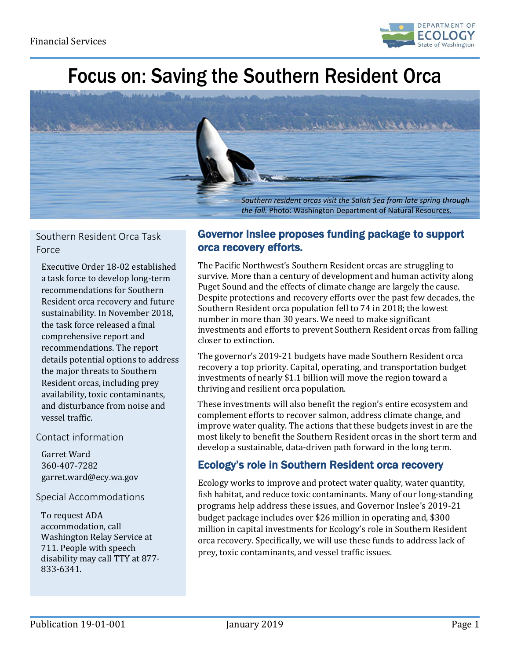

# Focus on: Saving the Southern Resident Orca



## Southern Resident Orca Task Force

Executive Order 18-02 established a task force to develop long-term recommendations for Southern Resident orca recovery and future sustainability. In November 2018, the task force released a final comprehensive report and recommendations. The report details potential options to address the major threats to Southern Resident orcas, including prey availability, toxic contaminants, and disturbance from noise and vessel traffic.

### Contact information

Garret Ward 360-407-7282 garret.ward@ecy.wa.gov

#### Special Accommodations

To request ADA accommodation, call Washington Relay Service at 711. People with speech disability may call TTY at 877- 833-6341.

## Governor Inslee proposes funding package to support orca recovery efforts.

The Pacific Northwest's Southern Resident orcas are struggling to survive. More than a century of development and human activity along Puget Sound and the effects of climate change are largely the cause. Despite protections and recovery efforts over the past few decades, the Southern Resident orca population fell to 74 in 2018; the lowest number in more than 30 years. We need to make significant investments and efforts to prevent Southern Resident orcas from falling closer to extinction.

The governor's 2019-21 budgets have made Southern Resident orca recovery a top priority. Capital, operating, and transportation budget investments of nearly \$1.1 billion will move the region toward a thriving and resilient orca population.

These investments will also benefit the region's entire ecosystem and complement efforts to recover salmon, address climate change, and improve water quality. The actions that these budgets invest in are the most likely to benefit the Southern Resident orcas in the short term and develop a sustainable, data-driven path forward in the long term.

# Ecology's role in Southern Resident orca recovery

Ecology works to improve and protect water quality, water quantity, fish habitat, and reduce toxic contaminants. Many of our long-standing programs help address these issues, and Governor Inslee's 2019-21 budget package includes over \$26 million in operating and, \$300 million in capital investments for Ecology's role in Southern Resident orca recovery. Specifically, we will use these funds to address lack of prey, toxic contaminants, and vessel traffic issues.